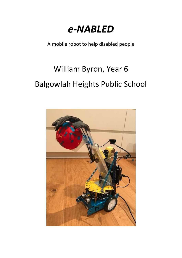# *e-NABLED*

A mobile robot to help disabled people

# William Byron, Year 6 Balgowlah Heights Public School

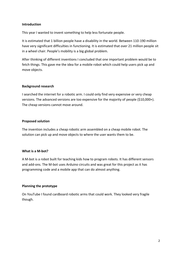# **Introduction**

This year I wanted to invent something to help less fortunate people.

It is estimated that 1 billion people have a disability in the world. Between 110-190 million have very significant difficulties in functioning. It is estimated that over 21 million people sit in a wheel chair. People's mobility is a big global problem.

After thinking of different inventions I concluded that one important problem would be to fetch things. This gave me the idea for a mobile robot which could help users pick up and move objects.

# **Background research**

I searched the internet for a robotic arm. I could only find very expensive or very cheap versions. The advanced versions are too expensive for the majority of people (\$10,000+). The cheap versions cannot move around.

# **Proposed solution**

The invention includes a cheap robotic arm assembled on a cheap mobile robot. The solution can pick up and move objects to where the user wants them to be.

# **What is a M-bot?**

A M-bot is a robot built for teaching kids how to program robots. It has different sensors and add-ons. The M-bot uses Arduino circuits and was great for this project as it has programming code and a mobile app that can do almost anything.

# **Planning the prototype**

On YouTube I found cardboard robotic arms that could work. They looked very fragile though.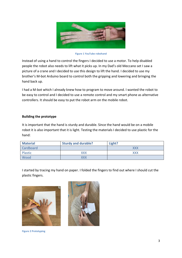

**Figure 1 YouTube robohand**

Instead of using a hand to control the fingers I decided to use a motor. To help disabled people the robot also needs to lift what it picks up. In my Dad's old Meccano set I saw a picture of a crane and I decided to use this design to lift the hand. I decided to use my brother's M-bot Arduino board to control both the gripping and lowering and bringing the hand back up.

I had a M-bot which I already knew how to program to move around. I wanted the robot to be easy to control and I decided to use a remote control and my smart phone as alternative controllers. It should be easy to put the robot arm on the mobile robot.

# **Building the prototype**

It is important that the hand is sturdy and durable. Since the hand would be on a mobile robot it is also important that it is light. Testing the materials I decided to use plastic for the hand:

| <b>Material</b> | <b>Sturdy and durable?</b> | Light?     |
|-----------------|----------------------------|------------|
| Cardboard       |                            | XXX        |
| Plastic         | <b>XXX</b>                 | <b>XXX</b> |
| Wood            | XXX                        |            |

I started by tracing my hand on paper. I folded the fingers to find out where I should cut the plastic fingers.





**Figure 2 Prototyping**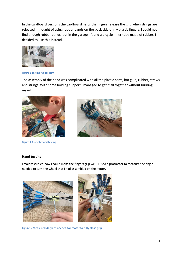In the cardboard versions the cardboard helps the fingers release the grip when strings are released. I thought of using rubber bands on the back side of my plastic fingers. I could not find enough rubber bands, but in the garage I found a bicycle inner tube made of rubber. I decided to use this instead.



**Figure 3 Testing rubber joint**

The assembly of the hand was complicated with all the plastic parts, hot glue, rubber, straws and strings. With some holding support I managed to get it all together without burning myself.



**Figure 4 Assembly and testing**



#### **Hand testing**

I mainly studied how I could make the fingers grip well. I used a protractor to measure the angle needed to turn the wheel that I had assembled on the motor.



**Figure 5 Measured degrees needed for motor to fully close grip**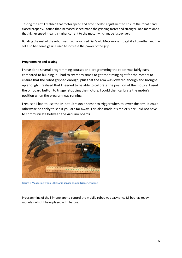Testing the arm I realised that motor speed and time needed adjustment to ensure the robot hand closed properly. I found that increased speed made the gripping faster and stronger. Dad mentioned that higher speed meant a higher current to the motor which made it stronger.

Building the rest of the robot was fun. I also used Dad's old Meccano set to get it all together and the set also had some gears I used to increase the power of the grip.

# **Programming and testing**

I have done several programming courses and programming the robot was fairly easy compared to building it. I had to try many times to get the timing right for the motors to ensure that the robot gripped enough, plus that the arm was lowered enough and brought up enough. I realised that I needed to be able to calibrate the position of the motors. I used the on board button to trigger stopping the motors. I could then calibrate the motor's position when the program was running.

I realised I had to use the M-bot ultrasonic sensor to trigger when to lower the arm. It could otherwise be tricky to see if you are far away. This also made it simpler since I did not have to communicate between the Arduino boards.



**Figure 6 Measuring when Ultrasonic sensor should trigger gripping**

Programming of the i-Phone app to control the mobile robot was easy since M-bot has ready modules which I have played with before.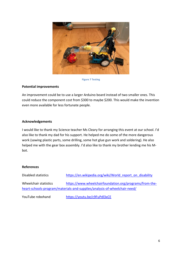

**Figure 7 Testing**

# **Potential improvements**

An improvement could be to use a larger Arduino board instead of two smaller ones. This could reduce the component cost from \$300 to maybe \$200. This would make the invention even more available for less fortunate people.

# **Acknowledgements**

I would like to thank my Science teacher Ms Cleary for arranging this event at our school. I'd also like to thank my dad for his support. He helped me do some of the more dangerous work (sawing plastic parts, some drilling, some hot glue gun work and soldering). He also helped me with the gear box assembly. I'd also like to thank my brother lending me his Mbot.

# **References**

| Disabled statistics   | https://en.wikipedia.org/wiki/World report on disability                  |
|-----------------------|---------------------------------------------------------------------------|
| Wheelchair statistics | https://www.wheelchairfoundation.org/programs/from-the-                   |
|                       | heart-schools-program/materials-and-supplies/analysis-of-wheelchair-need/ |

YouTube robohand <https://youtu.be/c9FuPdl3xCE>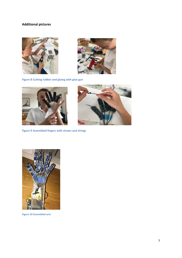# **Additional pictures**





**Figure 8 Cutting rubber and gluing with glue gun**



**Figure 9 Assembled fingers with straws and strings** 





**Figure 10 Assembled arm**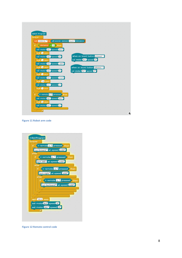| mBot Program                                                                                        |                                           |
|-----------------------------------------------------------------------------------------------------|-------------------------------------------|
| forever                                                                                             |                                           |
| set distance v to ultrasonic sensor (Port3 <sup>v</sup> ) distance                                  |                                           |
| if.                                                                                                 |                                           |
| distance $\vert < 14$ then                                                                          |                                           |
| set motor M1V speed 100V                                                                            |                                           |
| wait 3 secs                                                                                         |                                           |
| set motor MID speed OD                                                                              | when on board button pressed $\mathbf{v}$ |
| wait 1 secs                                                                                         | set motor MID speed OD                    |
| set motor M2 <sup>7</sup> speed (-255 <sup>7</sup> )                                                |                                           |
|                                                                                                     |                                           |
| wait 3 secs                                                                                         | when on board button released             |
| set motor M2V speed OV                                                                              | set motor M23 speed O3                    |
| wait 1 secs                                                                                         |                                           |
| set motor M1 <sup>2</sup> speed -150 <sup>2</sup>                                                   |                                           |
| wait (14) secs                                                                                      |                                           |
| set motor M1 <sup>2</sup> speed 02                                                                  |                                           |
| wait 1 secs                                                                                         |                                           |
|                                                                                                     |                                           |
| $\left\langle$ ir remote $\left  A \right  \right\rangle$ pressed $\left  \right\rangle$ then<br>if |                                           |
|                                                                                                     |                                           |
| set motor M2V speed (100V                                                                           |                                           |
| wait 2 secs                                                                                         |                                           |
| set motor M2V speed OV                                                                              |                                           |
| 크                                                                                                   |                                           |

**Figure 11 Robot arm code**



**Figure 12 Remote control code**